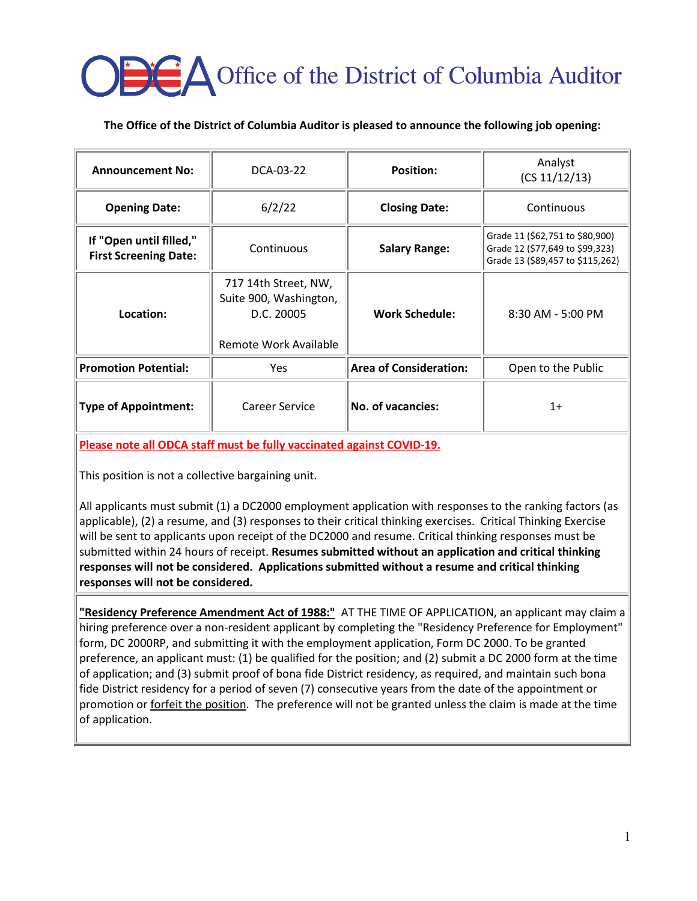# **OBC** Office of the District of Columbia Auditor

#### **The Office of the District of Columbia Auditor is pleased to announce the following job opening:**

| <b>Announcement No:</b>                                 | DCA-03-22                                                                             | <b>Position:</b>              | Analyst<br>(CS 11/12/13)                                                                               |
|---------------------------------------------------------|---------------------------------------------------------------------------------------|-------------------------------|--------------------------------------------------------------------------------------------------------|
| <b>Opening Date:</b>                                    | 6/2/22                                                                                | <b>Closing Date:</b>          | Continuous                                                                                             |
| If "Open until filled,"<br><b>First Screening Date:</b> | Continuous                                                                            | <b>Salary Range:</b>          | Grade 11 (\$62,751 to \$80,900)<br>Grade 12 (\$77,649 to \$99,323)<br>Grade 13 (\$89,457 to \$115,262) |
| Location:                                               | 717 14th Street, NW,<br>Suite 900, Washington,<br>D.C. 20005<br>Remote Work Available | <b>Work Schedule:</b>         | 8:30 AM - 5:00 PM                                                                                      |
| <b>Promotion Potential:</b>                             | Yes.                                                                                  | <b>Area of Consideration:</b> | Open to the Public                                                                                     |
| <b>Type of Appointment:</b>                             | Career Service                                                                        | No. of vacancies:             | $1+$                                                                                                   |

**Please note all ODCA staff must be fully vaccinated against COVID-19.**

This position is not a collective bargaining unit.

All applicants must submit (1) a DC2000 employment application with responses to the ranking factors (as applicable), (2) a resume, and (3) responses to their critical thinking exercises. Critical Thinking Exercise will be sent to applicants upon receipt of the DC2000 and resume. Critical thinking responses must be submitted within 24 hours of receipt. **Resumes submitted without an application and critical thinking responses will not be considered. Applications submitted without a resume and critical thinking responses will not be considered.**

**"Residency Preference Amendment Act of 1988:"** AT THE TIME OF APPLICATION, an applicant may claim a hiring preference over a non-resident applicant by completing the "Residency Preference for Employment" form, DC 2000RP, and submitting it with the employment application, Form DC 2000. To be granted preference, an applicant must: (1) be qualified for the position; and (2) submit a DC 2000 form at the time of application; and (3) submit proof of bona fide District residency, as required, and maintain such bona fide District residency for a period of seven (7) consecutive years from the date of the appointment or promotion or **forfeit the position**. The preference will not be granted unless the claim is made at the time of application.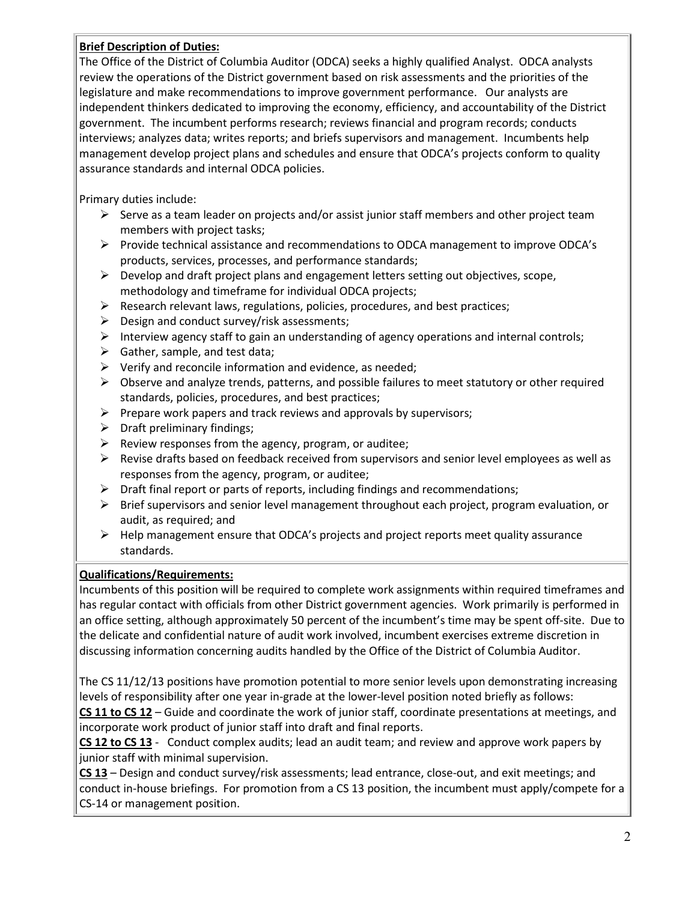### **Brief Description of Duties:**

The Office of the District of Columbia Auditor (ODCA) seeks a highly qualified Analyst. ODCA analysts review the operations of the District government based on risk assessments and the priorities of the legislature and make recommendations to improve government performance. Our analysts are independent thinkers dedicated to improving the economy, efficiency, and accountability of the District government. The incumbent performs research; reviews financial and program records; conducts interviews; analyzes data; writes reports; and briefs supervisors and management. Incumbents help management develop project plans and schedules and ensure that ODCA's projects conform to quality assurance standards and internal ODCA policies.

Primary duties include:

- $\triangleright$  Serve as a team leader on projects and/or assist junior staff members and other project team members with project tasks;
- $\triangleright$  Provide technical assistance and recommendations to ODCA management to improve ODCA's products, services, processes, and performance standards;
- $\triangleright$  Develop and draft project plans and engagement letters setting out objectives, scope, methodology and timeframe for individual ODCA projects;
- $\triangleright$  Research relevant laws, regulations, policies, procedures, and best practices;
- $\triangleright$  Design and conduct survey/risk assessments;
- Interview agency staff to gain an understanding of agency operations and internal controls;
- $\triangleright$  Gather, sample, and test data;
- $\triangleright$  Verify and reconcile information and evidence, as needed;
- $\triangleright$  Observe and analyze trends, patterns, and possible failures to meet statutory or other required standards, policies, procedures, and best practices;
- $\triangleright$  Prepare work papers and track reviews and approvals by supervisors;
- $\triangleright$  Draft preliminary findings;
- $\triangleright$  Review responses from the agency, program, or auditee;
- $\triangleright$  Revise drafts based on feedback received from supervisors and senior level employees as well as responses from the agency, program, or auditee;
- $\triangleright$  Draft final report or parts of reports, including findings and recommendations;
- $\triangleright$  Brief supervisors and senior level management throughout each project, program evaluation, or audit, as required; and
- $\triangleright$  Help management ensure that ODCA's projects and project reports meet quality assurance standards.

## **Qualifications/Requirements:**

Incumbents of this position will be required to complete work assignments within required timeframes and has regular contact with officials from other District government agencies. Work primarily is performed in an office setting, although approximately 50 percent of the incumbent's time may be spent off-site. Due to the delicate and confidential nature of audit work involved, incumbent exercises extreme discretion in discussing information concerning audits handled by the Office of the District of Columbia Auditor.

The CS 11/12/13 positions have promotion potential to more senior levels upon demonstrating increasing levels of responsibility after one year in-grade at the lower-level position noted briefly as follows:

**CS 11 to CS 12** – Guide and coordinate the work of junior staff, coordinate presentations at meetings, and incorporate work product of junior staff into draft and final reports.

**CS 12 to CS 13** - Conduct complex audits; lead an audit team; and review and approve work papers by junior staff with minimal supervision.

**CS 13** – Design and conduct survey/risk assessments; lead entrance, close-out, and exit meetings; and conduct in-house briefings. For promotion from a CS 13 position, the incumbent must apply/compete for a CS-14 or management position.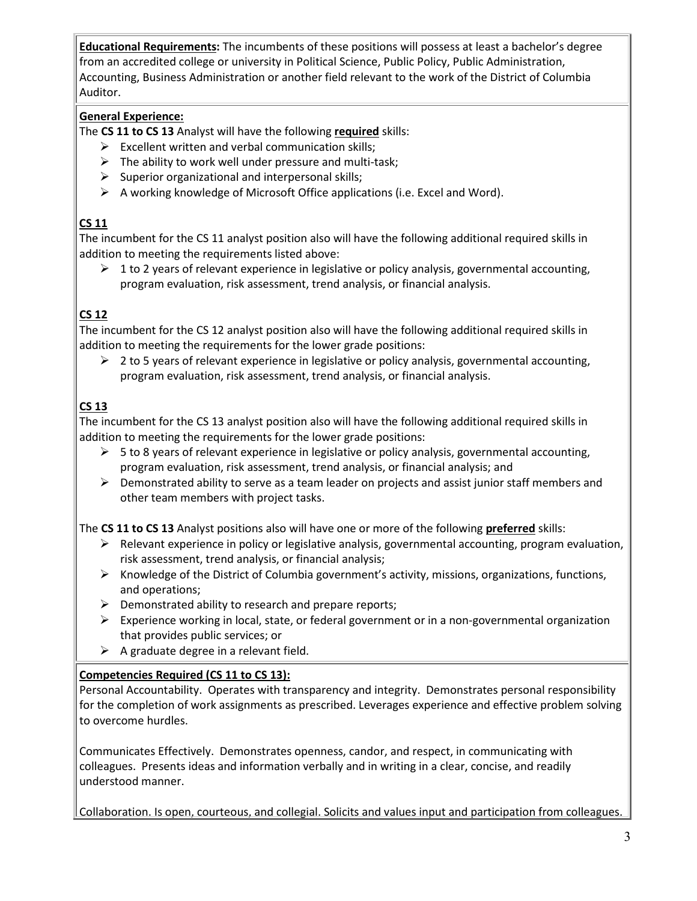**Educational Requirements:** The incumbents of these positions will possess at least a bachelor's degree from an accredited college or university in Political Science, Public Policy, Public Administration, Accounting, Business Administration or another field relevant to the work of the District of Columbia Auditor.

## **General Experience:**

The **CS 11 to CS 13** Analyst will have the following **required** skills:

- $\triangleright$  Excellent written and verbal communication skills;
- $\triangleright$  The ability to work well under pressure and multi-task;
- $\triangleright$  Superior organizational and interpersonal skills;
- $\triangleright$  A working knowledge of Microsoft Office applications (i.e. Excel and Word).

# **CS 11**

The incumbent for the CS 11 analyst position also will have the following additional required skills in addition to meeting the requirements listed above:

 $\triangleright$  1 to 2 years of relevant experience in legislative or policy analysis, governmental accounting, program evaluation, risk assessment, trend analysis, or financial analysis.

# **CS 12**

The incumbent for the CS 12 analyst position also will have the following additional required skills in addition to meeting the requirements for the lower grade positions:

 $\triangleright$  2 to 5 years of relevant experience in legislative or policy analysis, governmental accounting, program evaluation, risk assessment, trend analysis, or financial analysis.

# **CS 13**

The incumbent for the CS 13 analyst position also will have the following additional required skills in addition to meeting the requirements for the lower grade positions:

- $\triangleright$  5 to 8 years of relevant experience in legislative or policy analysis, governmental accounting, program evaluation, risk assessment, trend analysis, or financial analysis; and
- $\triangleright$  Demonstrated ability to serve as a team leader on projects and assist junior staff members and other team members with project tasks.

The **CS 11 to CS 13** Analyst positions also will have one or more of the following **preferred** skills:

- $\triangleright$  Relevant experience in policy or legislative analysis, governmental accounting, program evaluation, risk assessment, trend analysis, or financial analysis;
- $\triangleright$  Knowledge of the District of Columbia government's activity, missions, organizations, functions, and operations;
- $\triangleright$  Demonstrated ability to research and prepare reports;
- $\triangleright$  Experience working in local, state, or federal government or in a non-governmental organization that provides public services; or
- $\triangleright$  A graduate degree in a relevant field.

## **Competencies Required (CS 11 to CS 13):**

Personal Accountability. Operates with transparency and integrity. Demonstrates personal responsibility for the completion of work assignments as prescribed. Leverages experience and effective problem solving to overcome hurdles.

Communicates Effectively. Demonstrates openness, candor, and respect, in communicating with colleagues. Presents ideas and information verbally and in writing in a clear, concise, and readily understood manner.

Collaboration. Is open, courteous, and collegial. Solicits and values input and participation from colleagues.